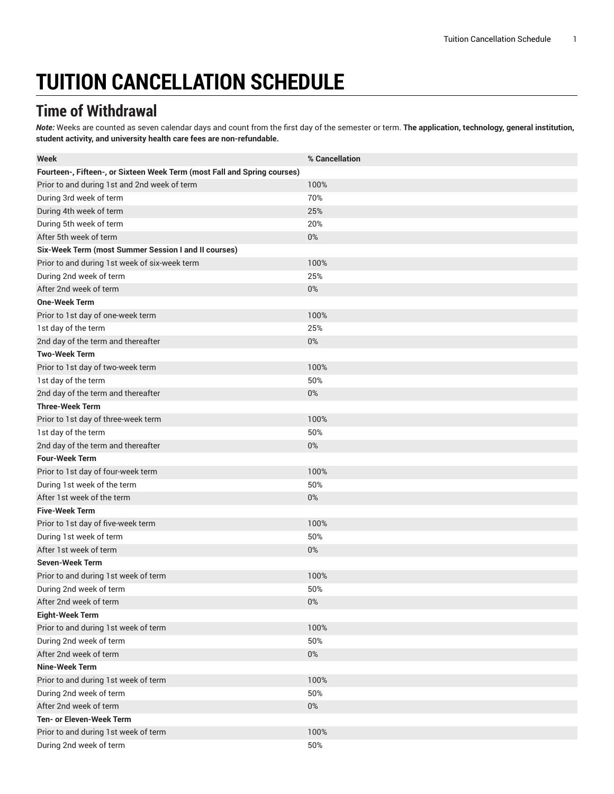# **TUITION CANCELLATION SCHEDULE**

# **Time of Withdrawal**

*Note:* Weeks are counted as seven calendar days and count from the first day of the semester or term. **The application, technology, general institution, student activity, and university health care fees are non-refundable.**

| <b>Week</b>                                                              | % Cancellation |
|--------------------------------------------------------------------------|----------------|
| Fourteen-, Fifteen-, or Sixteen Week Term (most Fall and Spring courses) |                |
| Prior to and during 1st and 2nd week of term                             | 100%           |
| During 3rd week of term                                                  | 70%            |
| During 4th week of term                                                  | 25%            |
| During 5th week of term                                                  | 20%            |
| After 5th week of term                                                   | 0%             |
| Six-Week Term (most Summer Session I and II courses)                     |                |
| Prior to and during 1st week of six-week term                            | 100%           |
| During 2nd week of term                                                  | 25%            |
| After 2nd week of term                                                   | $0\%$          |
| <b>One-Week Term</b>                                                     |                |
| Prior to 1st day of one-week term                                        | 100%           |
| 1st day of the term                                                      | 25%            |
| 2nd day of the term and thereafter                                       | $0\%$          |
| <b>Two-Week Term</b>                                                     |                |
| Prior to 1st day of two-week term                                        | 100%           |
| 1st day of the term                                                      | 50%            |
| 2nd day of the term and thereafter                                       | $0\%$          |
| <b>Three-Week Term</b>                                                   |                |
| Prior to 1st day of three-week term                                      | 100%           |
| 1st day of the term                                                      | 50%            |
| 2nd day of the term and thereafter                                       | $0\%$          |
| <b>Four-Week Term</b>                                                    |                |
| Prior to 1st day of four-week term                                       | 100%           |
| During 1st week of the term                                              | 50%            |
| After 1st week of the term                                               | $0\%$          |
| <b>Five-Week Term</b>                                                    |                |
| Prior to 1st day of five-week term                                       | 100%           |
| During 1st week of term                                                  | 50%            |
| After 1st week of term                                                   | $0\%$          |
| <b>Seven-Week Term</b>                                                   |                |
| Prior to and during 1st week of term                                     | 100%           |
| During 2nd week of term                                                  | 50%            |
| After 2nd week of term                                                   | $0\%$          |
| <b>Eight-Week Term</b>                                                   |                |
| Prior to and during 1st week of term                                     | 100%           |
| During 2nd week of term                                                  | 50%            |
| After 2nd week of term                                                   | $0\%$          |
| <b>Nine-Week Term</b>                                                    |                |
| Prior to and during 1st week of term                                     | 100%           |
| During 2nd week of term                                                  | 50%            |
| After 2nd week of term                                                   | $0\%$          |
| Ten- or Eleven-Week Term                                                 |                |
| Prior to and during 1st week of term                                     | 100%           |
| During 2nd week of term                                                  | 50%            |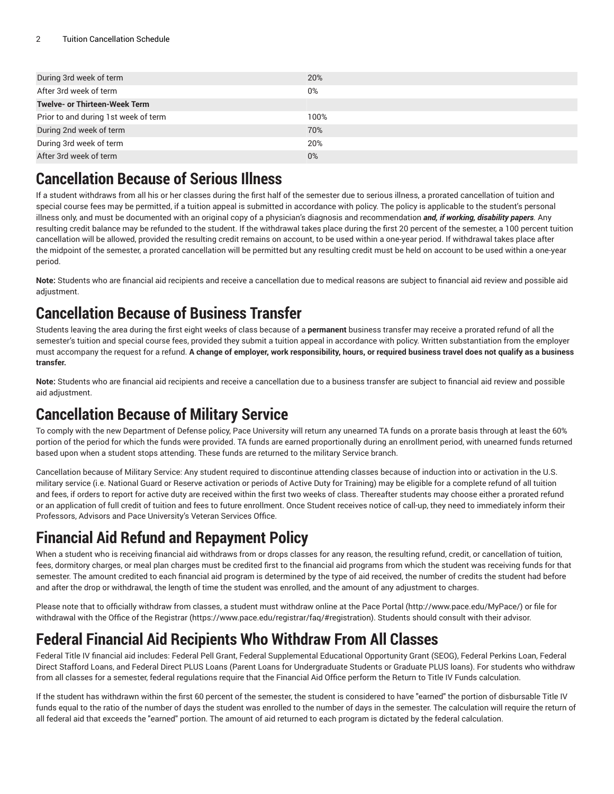| During 3rd week of term              | 20%   |
|--------------------------------------|-------|
| After 3rd week of term               | $0\%$ |
| <b>Twelve- or Thirteen-Week Term</b> |       |
| Prior to and during 1st week of term | 100%  |
| During 2nd week of term              | 70%   |
| During 3rd week of term              | 20%   |
| After 3rd week of term               | $0\%$ |
|                                      |       |

### **Cancellation Because of Serious Illness**

If a student withdraws from all his or her classes during the first half of the semester due to serious illness, a prorated cancellation of tuition and special course fees may be permitted, if a tuition appeal is submitted in accordance with policy. The policy is applicable to the student's personal illness only, and must be documented with an original copy of a physician's diagnosis and recommendation *and, if working, disability papers.* Any resulting credit balance may be refunded to the student. If the withdrawal takes place during the first 20 percent of the semester, a 100 percent tuition cancellation will be allowed, provided the resulting credit remains on account, to be used within a one-year period. If withdrawal takes place after the midpoint of the semester, a prorated cancellation will be permitted but any resulting credit must be held on account to be used within a one-year period.

**Note:** Students who are financial aid recipients and receive a cancellation due to medical reasons are subject to financial aid review and possible aid adjustment.

# **Cancellation Because of Business Transfer**

Students leaving the area during the first eight weeks of class because of a **permanent** business transfer may receive a prorated refund of all the semester's tuition and special course fees, provided they submit a tuition appeal in accordance with policy. Written substantiation from the employer must accompany the request for a refund. A change of employer, work responsibility, hours, or required business travel does not qualify as a business **transfer.**

**Note:** Students who are financial aid recipients and receive a cancellation due to a business transfer are subject to financial aid review and possible aid adjustment.

## **Cancellation Because of Military Service**

To comply with the new Department of Defense policy, Pace University will return any unearned TA funds on a prorate basis through at least the 60% portion of the period for which the funds were provided. TA funds are earned proportionally during an enrollment period, with unearned funds returned based upon when a student stops attending. These funds are returned to the military Service branch.

Cancellation because of Military Service: Any student required to discontinue attending classes because of induction into or activation in the U.S. military service (i.e. National Guard or Reserve activation or periods of Active Duty for Training) may be eligible for a complete refund of all tuition and fees, if orders to report for active duty are received within the first two weeks of class. Thereafter students may choose either a prorated refund or an application of full credit of tuition and fees to future enrollment. Once Student receives notice of call-up, they need to immediately inform their Professors, Advisors and Pace University's Veteran Services Office.

# **Financial Aid Refund and Repayment Policy**

When a student who is receiving financial aid withdraws from or drops classes for any reason, the resulting refund, credit, or cancellation of tuition, fees, dormitory charges, or meal plan charges must be credited first to the financial aid programs from which the student was receiving funds for that semester. The amount credited to each financial aid program is determined by the type of aid received, the number of credits the student had before and after the drop or withdrawal, the length of time the student was enrolled, and the amount of any adjustment to charges.

Please note that to officially withdraw from classes, a student must withdraw online at the Pace [Portal \(http://www.pace.edu/MyPace/\)](http://www.pace.edu/MyPace/) or file for withdrawal with the [Office of the Registrar](https://www.pace.edu/registrar/faq/#registration) (<https://www.pace.edu/registrar/faq/#registration>). Students should consult with their advisor.

# **Federal Financial Aid Recipients Who Withdraw From All Classes**

Federal Title IV financial aid includes: Federal Pell Grant, Federal Supplemental Educational Opportunity Grant (SEOG), Federal Perkins Loan, Federal Direct Stafford Loans, and Federal Direct PLUS Loans (Parent Loans for Undergraduate Students or Graduate PLUS loans). For students who withdraw from all classes for a semester, federal regulations require that the Financial Aid Office perform the Return to Title IV Funds calculation.

If the student has withdrawn within the first 60 percent of the semester, the student is considered to have "earned" the portion of disbursable Title IV funds equal to the ratio of the number of days the student was enrolled to the number of days in the semester. The calculation will require the return of all federal aid that exceeds the "earned" portion. The amount of aid returned to each program is dictated by the federal calculation.